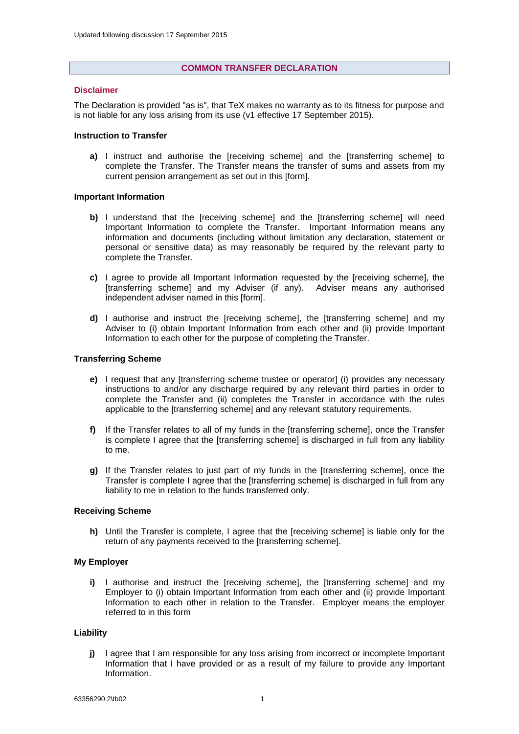#### **COMMON TRANSFER DECLARATION**

#### **Disclaimer**

The Declaration is provided "as is", that TeX makes no warranty as to its fitness for purpose and is not liable for any loss arising from its use (v1 effective 17 September 2015).

#### **Instruction to Transfer**

**a)** I instruct and authorise the [receiving scheme] and the [transferring scheme] to complete the Transfer. The Transfer means the transfer of sums and assets from my current pension arrangement as set out in this [form].

#### **Important Information**

- **b**) I understand that the [receiving scheme] and the [transferring scheme] will need Important Information to complete the Transfer. Important Information means any information and documents (including without limitation any declaration, statement or personal or sensitive data) as may reasonably be required by the relevant party to complete the Transfer.
- **c)** I agree to provide all Important Information requested by the [receiving scheme], the [transferring scheme] and my Adviser (if any). Adviser means any authorised independent adviser named in this [form].
- **d)** I authorise and instruct the [receiving scheme], the [transferring scheme] and my Adviser to (i) obtain Important Information from each other and (ii) provide Important Information to each other for the purpose of completing the Transfer.

### **Transferring Scheme**

- **e)** I request that any Itransferring scheme trustee or operatorl (i) provides any necessary instructions to and/or any discharge required by any relevant third parties in order to complete the Transfer and (ii) completes the Transfer in accordance with the rules applicable to the [transferring scheme] and any relevant statutory requirements.
- **f)** If the Transfer relates to all of my funds in the [transferring scheme], once the Transfer is complete I agree that the [transferring scheme] is discharged in full from any liability to me.
- **g)** If the Transfer relates to just part of my funds in the [transferring scheme], once the Transfer is complete I agree that the [transferring scheme] is discharged in full from any liability to me in relation to the funds transferred only.

#### **Receiving Scheme**

**h)** Until the Transfer is complete, I agree that the [receiving scheme] is liable only for the return of any payments received to the [transferring scheme].

## **My Employer**

**i)** I authorise and instruct the [receiving scheme], the [transferring scheme] and my Employer to (i) obtain Important Information from each other and (ii) provide Important Information to each other in relation to the Transfer. Employer means the employer referred to in this form

#### **Liability**

**j)** I agree that I am responsible for any loss arising from incorrect or incomplete Important Information that I have provided or as a result of my failure to provide any Important Information.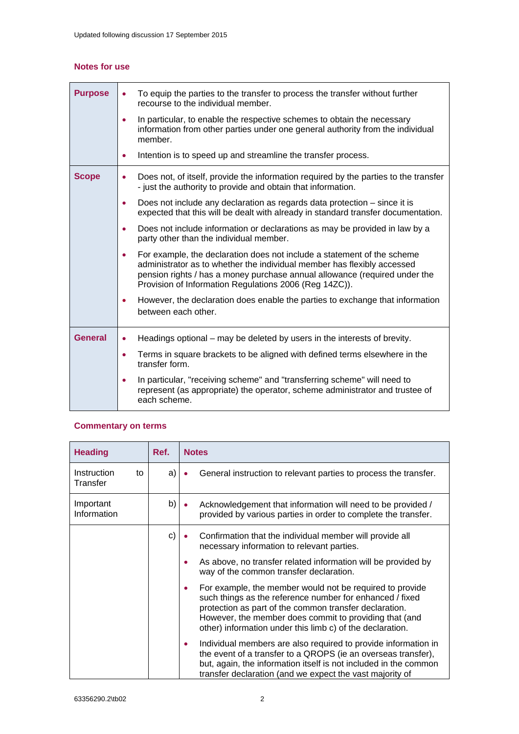# **Notes for use**

| <b>Purpose</b> | To equip the parties to the transfer to process the transfer without further<br>recourse to the individual member.                                                                                                                                                                         |  |  |  |
|----------------|--------------------------------------------------------------------------------------------------------------------------------------------------------------------------------------------------------------------------------------------------------------------------------------------|--|--|--|
|                | In particular, to enable the respective schemes to obtain the necessary<br>information from other parties under one general authority from the individual<br>member.                                                                                                                       |  |  |  |
|                | Intention is to speed up and streamline the transfer process.<br>٠                                                                                                                                                                                                                         |  |  |  |
| <b>Scope</b>   | Does not, of itself, provide the information required by the parties to the transfer<br>- just the authority to provide and obtain that information.                                                                                                                                       |  |  |  |
|                | Does not include any declaration as regards data protection – since it is<br>expected that this will be dealt with already in standard transfer documentation.                                                                                                                             |  |  |  |
|                | Does not include information or declarations as may be provided in law by a<br>party other than the individual member.                                                                                                                                                                     |  |  |  |
|                | For example, the declaration does not include a statement of the scheme<br>administrator as to whether the individual member has flexibly accessed<br>pension rights / has a money purchase annual allowance (required under the<br>Provision of Information Regulations 2006 (Reg 14ZC)). |  |  |  |
|                | However, the declaration does enable the parties to exchange that information<br>between each other.                                                                                                                                                                                       |  |  |  |
| <b>General</b> | Headings optional – may be deleted by users in the interests of brevity.<br>٠                                                                                                                                                                                                              |  |  |  |
|                | Terms in square brackets to be aligned with defined terms elsewhere in the<br>۰<br>transfer form.                                                                                                                                                                                          |  |  |  |
|                | In particular, "receiving scheme" and "transferring scheme" will need to<br>represent (as appropriate) the operator, scheme administrator and trustee of<br>each scheme.                                                                                                                   |  |  |  |

# **Commentary on terms**

| <b>Heading</b>                | Ref.         |   | <b>Notes</b>                                                                                                                                                                                                                                                                                          |
|-------------------------------|--------------|---|-------------------------------------------------------------------------------------------------------------------------------------------------------------------------------------------------------------------------------------------------------------------------------------------------------|
| Instruction<br>to<br>Transfer | a)           |   | General instruction to relevant parties to process the transfer.                                                                                                                                                                                                                                      |
| Important<br>Information      | b)           |   | Acknowledgement that information will need to be provided /<br>provided by various parties in order to complete the transfer.                                                                                                                                                                         |
|                               | $\mathsf{C}$ |   | Confirmation that the individual member will provide all<br>necessary information to relevant parties.                                                                                                                                                                                                |
|                               |              |   | As above, no transfer related information will be provided by<br>way of the common transfer declaration.                                                                                                                                                                                              |
|                               |              | ٠ | For example, the member would not be required to provide<br>such things as the reference number for enhanced / fixed<br>protection as part of the common transfer declaration.<br>However, the member does commit to providing that (and<br>other) information under this limb c) of the declaration. |
|                               |              | ٠ | Individual members are also required to provide information in<br>the event of a transfer to a QROPS (ie an overseas transfer),<br>but, again, the information itself is not included in the common<br>transfer declaration (and we expect the vast majority of                                       |